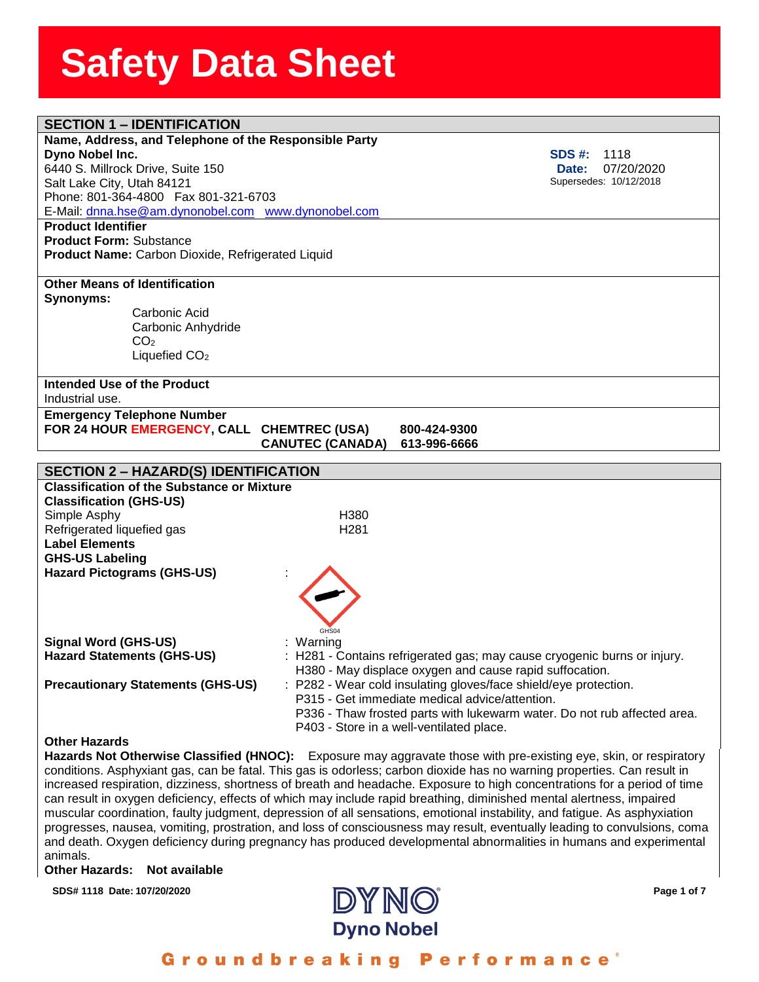| <b>SECTION 1 - IDENTIFICATION</b>                     |                                                                                                                      |
|-------------------------------------------------------|----------------------------------------------------------------------------------------------------------------------|
| Name, Address, and Telephone of the Responsible Party |                                                                                                                      |
| Dyno Nobel Inc.                                       | <b>SDS #:</b><br>1118                                                                                                |
| 6440 S. Millrock Drive, Suite 150                     | 07/20/2020<br>Date:                                                                                                  |
| Salt Lake City, Utah 84121                            | Supersedes: 10/12/2018                                                                                               |
| Phone: 801-364-4800  Fax 801-321-6703                 |                                                                                                                      |
| E-Mail: dnna.hse@am.dynonobel.com www.dynonobel.com   |                                                                                                                      |
| <b>Product Identifier</b>                             |                                                                                                                      |
| <b>Product Form: Substance</b>                        |                                                                                                                      |
| Product Name: Carbon Dioxide, Refrigerated Liquid     |                                                                                                                      |
|                                                       |                                                                                                                      |
| <b>Other Means of Identification</b>                  |                                                                                                                      |
| Synonyms:                                             |                                                                                                                      |
| Carbonic Acid                                         |                                                                                                                      |
| Carbonic Anhydride<br>CO <sub>2</sub>                 |                                                                                                                      |
| Liquefied CO <sub>2</sub>                             |                                                                                                                      |
|                                                       |                                                                                                                      |
| Intended Use of the Product                           |                                                                                                                      |
| Industrial use.                                       |                                                                                                                      |
| <b>Emergency Telephone Number</b>                     |                                                                                                                      |
| FOR 24 HOUR EMERGENCY, CALL CHEMTREC (USA)            | 800-424-9300                                                                                                         |
|                                                       | <b>CANUTEC (CANADA)</b><br>613-996-6666                                                                              |
|                                                       |                                                                                                                      |
|                                                       |                                                                                                                      |
| <b>SECTION 2 - HAZARD(S) IDENTIFICATION</b>           |                                                                                                                      |
| <b>Classification of the Substance or Mixture</b>     |                                                                                                                      |
| <b>Classification (GHS-US)</b>                        |                                                                                                                      |
| Simple Asphy                                          | H380                                                                                                                 |
| Refrigerated liquefied gas                            | H <sub>281</sub>                                                                                                     |
| <b>Label Elements</b>                                 |                                                                                                                      |
| <b>GHS-US Labeling</b>                                |                                                                                                                      |
| <b>Hazard Pictograms (GHS-US)</b>                     |                                                                                                                      |
|                                                       |                                                                                                                      |
|                                                       |                                                                                                                      |
|                                                       |                                                                                                                      |
|                                                       | GHS04                                                                                                                |
| <b>Signal Word (GHS-US)</b>                           | : Warning                                                                                                            |
| <b>Hazard Statements (GHS-US)</b>                     | : H281 - Contains refrigerated gas; may cause cryogenic burns or injury.                                             |
|                                                       | H380 - May displace oxygen and cause rapid suffocation.                                                              |
| <b>Precautionary Statements (GHS-US)</b>              | : P282 - Wear cold insulating gloves/face shield/eye protection.                                                     |
|                                                       | P315 - Get immediate medical advice/attention.                                                                       |
|                                                       | P336 - Thaw frosted parts with lukewarm water. Do not rub affected area.<br>P403 - Store in a well-ventilated place. |

**Hazards Not Otherwise Classified (HNOC):** Exposure may aggravate those with pre-existing eye, skin, or respiratory conditions. Asphyxiant gas, can be fatal. This gas is odorless; carbon dioxide has no warning properties. Can result in increased respiration, dizziness, shortness of breath and headache. Exposure to high concentrations for a period of time can result in oxygen deficiency, effects of which may include rapid breathing, diminished mental alertness, impaired muscular coordination, faulty judgment, depression of all sensations, emotional instability, and fatigue. As asphyxiation progresses, nausea, vomiting, prostration, and loss of consciousness may result, eventually leading to convulsions, coma and death. Oxygen deficiency during pregnancy has produced developmental abnormalities in humans and experimental animals.

#### **Other Hazards: Not available**



#### Groundbreaking **Performance**<sup>®</sup>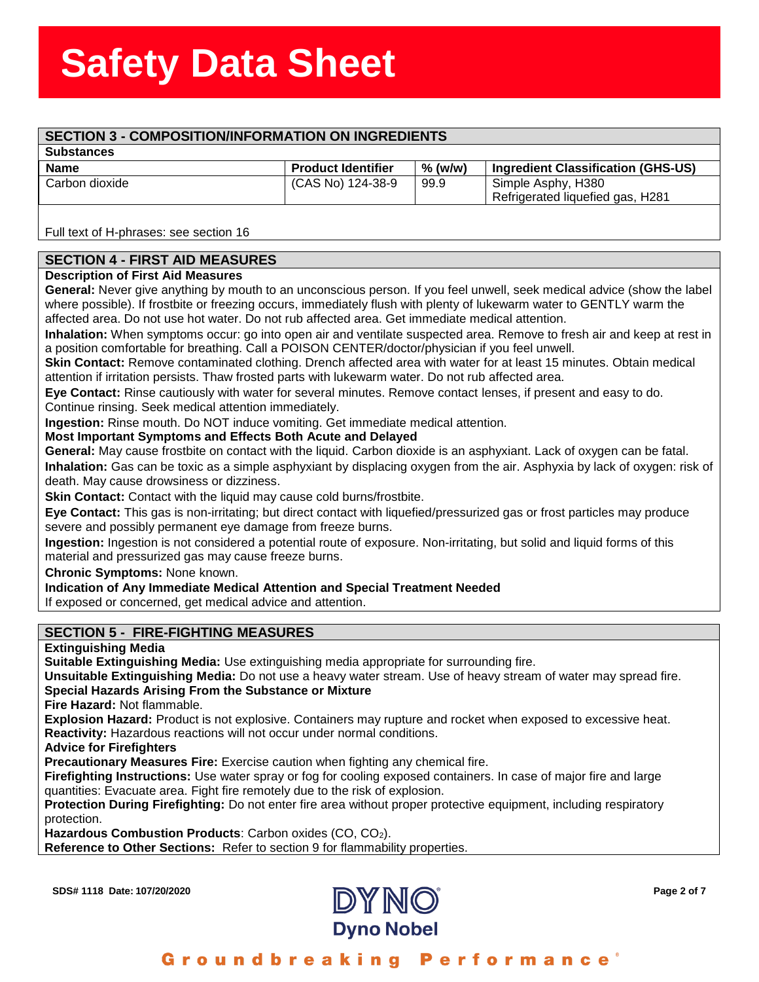## ass<del>ssssSSSS</del><br>Stern Stern Stern Stern Stern Stern Stern Stern Stern Stern Stern Stern Stern Stern Stern Stern Stern Stern St **SECTION 3 - COMPOSITION/INFORMATION ON INGREDIENTS**

**Substances** 

| -----------    |                           |         |                                    |
|----------------|---------------------------|---------|------------------------------------|
| <b>Name</b>    | <b>Product Identifier</b> | % (w/w) | Ingredient Classification (GHS-US) |
| Carbon dioxide | (CAS No) 124-38-9         | 99.9    | Simple Asphy, H380                 |
|                |                           |         | Refrigerated liquefied gas, H281   |

Full text of H-phrases: see section 16

### **SECTION 4 - FIRST AID MEASURES**

#### **Description of First Aid Measures**

**General:** Never give anything by mouth to an unconscious person. If you feel unwell, seek medical advice (show the label where possible). If frostbite or freezing occurs, immediately flush with plenty of lukewarm water to GENTLY warm the affected area. Do not use hot water. Do not rub affected area. Get immediate medical attention.

**Inhalation:** When symptoms occur: go into open air and ventilate suspected area. Remove to fresh air and keep at rest in a position comfortable for breathing. Call a POISON CENTER/doctor/physician if you feel unwell.

**Skin Contact:** Remove contaminated clothing. Drench affected area with water for at least 15 minutes. Obtain medical attention if irritation persists. Thaw frosted parts with lukewarm water. Do not rub affected area.

**Eye Contact:** Rinse cautiously with water for several minutes. Remove contact lenses, if present and easy to do. Continue rinsing. Seek medical attention immediately.

**Ingestion:** Rinse mouth. Do NOT induce vomiting. Get immediate medical attention.

#### **Most Important Symptoms and Effects Both Acute and Delayed**

**General:** May cause frostbite on contact with the liquid. Carbon dioxide is an asphyxiant. Lack of oxygen can be fatal. **Inhalation:** Gas can be toxic as a simple asphyxiant by displacing oxygen from the air. Asphyxia by lack of oxygen: risk of death. May cause drowsiness or dizziness.

**Skin Contact:** Contact with the liquid may cause cold burns/frostbite.

**Eye Contact:** This gas is non-irritating; but direct contact with liquefied/pressurized gas or frost particles may produce severe and possibly permanent eye damage from freeze burns.

**Ingestion:** Ingestion is not considered a potential route of exposure. Non-irritating, but solid and liquid forms of this material and pressurized gas may cause freeze burns.

**Chronic Symptoms:** None known.

**Indication of Any Immediate Medical Attention and Special Treatment Needed**

If exposed or concerned, get medical advice and attention.

### **SECTION 5 - FIRE-FIGHTING MEASURES**

#### **Extinguishing Media**

**Suitable Extinguishing Media:** Use extinguishing media appropriate for surrounding fire.

**Unsuitable Extinguishing Media:** Do not use a heavy water stream. Use of heavy stream of water may spread fire. **Special Hazards Arising From the Substance or Mixture**

**Fire Hazard:** Not flammable.

**Explosion Hazard:** Product is not explosive. Containers may rupture and rocket when exposed to excessive heat. **Reactivity:** Hazardous reactions will not occur under normal conditions.

**Advice for Firefighters**

**Precautionary Measures Fire:** Exercise caution when fighting any chemical fire.

**Firefighting Instructions:** Use water spray or fog for cooling exposed containers. In case of major fire and large quantities: Evacuate area. Fight fire remotely due to the risk of explosion.

**Protection During Firefighting:** Do not enter fire area without proper protective equipment, including respiratory protection.

**Hazardous Combustion Products**: Carbon oxides (CO, CO2).

**Reference to Other Sections:** Refer to section 9 for flammability properties.



### Groundbreaking Performance®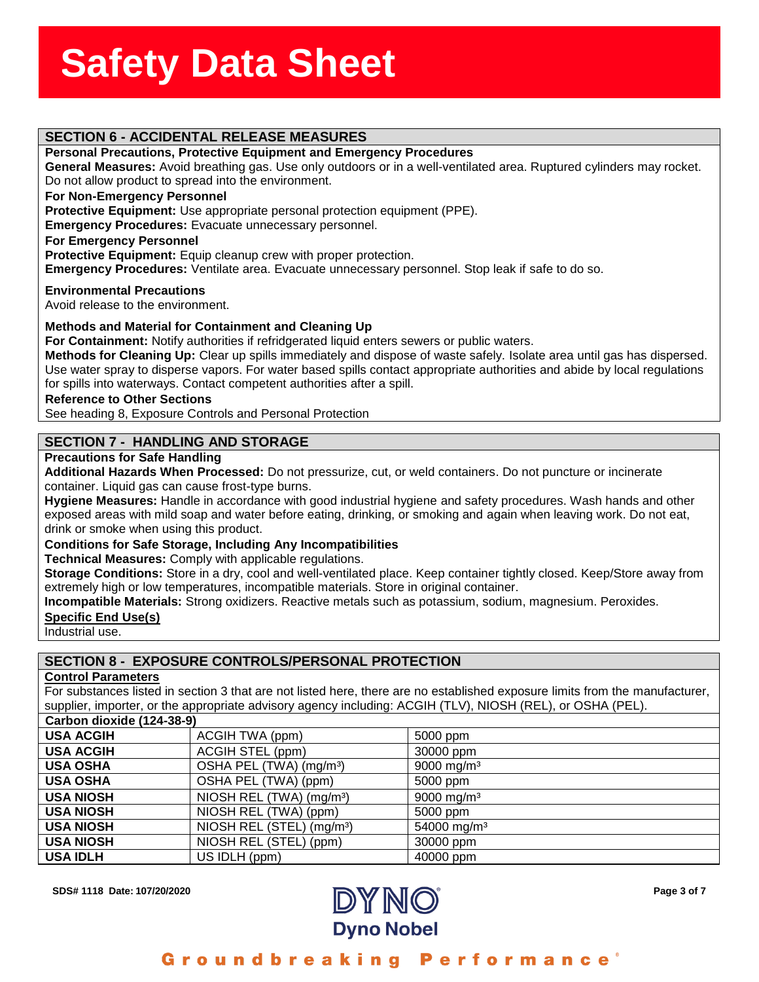# assess State State State State State State State State State State State State State State State State State S<br>State State State State State State State State State State State State State State State State State State St

#### **Personal Precautions, Protective Equipment and Emergency Procedures**

**SECTION 6 - ACCIDENTAL RELEASE MEASURES<br>Personal Precautions, Protective Equipment and Emer<br>General Measures:** Avoid breathing gas. Use only outdool **General Measures:** Avoid breathing gas. Use only outdoors or in a well-ventilated area. Ruptured cylinders may rocket. Do not allow product to spread into the environment.

#### **For Non-Emergency Personnel**

**Protective Equipment:** Use appropriate personal protection equipment (PPE).

**Emergency Procedures:** Evacuate unnecessary personnel.

**For Emergency Personnel**

**Protective Equipment:** Equip cleanup crew with proper protection.

**Emergency Procedures:** Ventilate area. Evacuate unnecessary personnel. Stop leak if safe to do so.

**Environmental Precautions**

Avoid release to the environment.

#### **Methods and Material for Containment and Cleaning Up**

**For Containment:** Notify authorities if refridgerated liquid enters sewers or public waters.

**Methods for Cleaning Up:** Clear up spills immediately and dispose of waste safely. Isolate area until gas has dispersed. Use water spray to disperse vapors. For water based spills contact appropriate authorities and abide by local regulations for spills into waterways. Contact competent authorities after a spill.

#### **Reference to Other Sections**

See heading 8, Exposure Controls and Personal Protection

#### **SECTION 7 - HANDLING AND STORAGE**

#### **Precautions for Safe Handling**

**Additional Hazards When Processed:** Do not pressurize, cut, or weld containers. Do not puncture or incinerate container. Liquid gas can cause frost-type burns.

**Hygiene Measures:** Handle in accordance with good industrial hygiene and safety procedures. Wash hands and other exposed areas with mild soap and water before eating, drinking, or smoking and again when leaving work. Do not eat, drink or smoke when using this product.

#### **Conditions for Safe Storage, Including Any Incompatibilities**

**Technical Measures:** Comply with applicable regulations.

**Storage Conditions:** Store in a dry, cool and well-ventilated place. Keep container tightly closed. Keep/Store away from extremely high or low temperatures, incompatible materials. Store in original container.

**Incompatible Materials:** Strong oxidizers. Reactive metals such as potassium, sodium, magnesium. Peroxides.

#### **Specific End Use(s)**

Industrial use.

#### **SECTION 8 - EXPOSURE CONTROLS/PERSONAL PROTECTION**

#### **Control Parameters**

For substances listed in section 3 that are not listed here, there are no established exposure limits from the manufacturer, supplier, importer, or the appropriate advisory agency including: ACGIH (TLV), NIOSH (REL), or OSHA (PEL).

| Carbon dioxide (124-38-9) |                                       |                         |
|---------------------------|---------------------------------------|-------------------------|
| <b>USA ACGIH</b>          | ACGIH TWA (ppm)                       | 5000 ppm                |
| <b>USA ACGIH</b>          | ACGIH STEL (ppm)                      | 30000 ppm               |
| <b>USA OSHA</b>           | OSHA PEL (TWA) (mg/m <sup>3</sup> )   | 9000 mg/m <sup>3</sup>  |
| <b>USA OSHA</b>           | OSHA PEL (TWA) (ppm)                  | 5000 ppm                |
| <b>USA NIOSH</b>          | NIOSH REL (TWA) (mg/m <sup>3</sup> )  | 9000 mg/m <sup>3</sup>  |
| <b>USA NIOSH</b>          | NIOSH REL (TWA) (ppm)                 | 5000 ppm                |
| <b>USA NIOSH</b>          | NIOSH REL (STEL) (mg/m <sup>3</sup> ) | 54000 mg/m <sup>3</sup> |
| <b>USA NIOSH</b>          | NIOSH REL (STEL) (ppm)                | 30000 ppm               |
| <b>USA IDLH</b>           | US IDLH (ppm)                         | 40000 ppm               |



#### Groundbreaking **Performance**<sup>®</sup>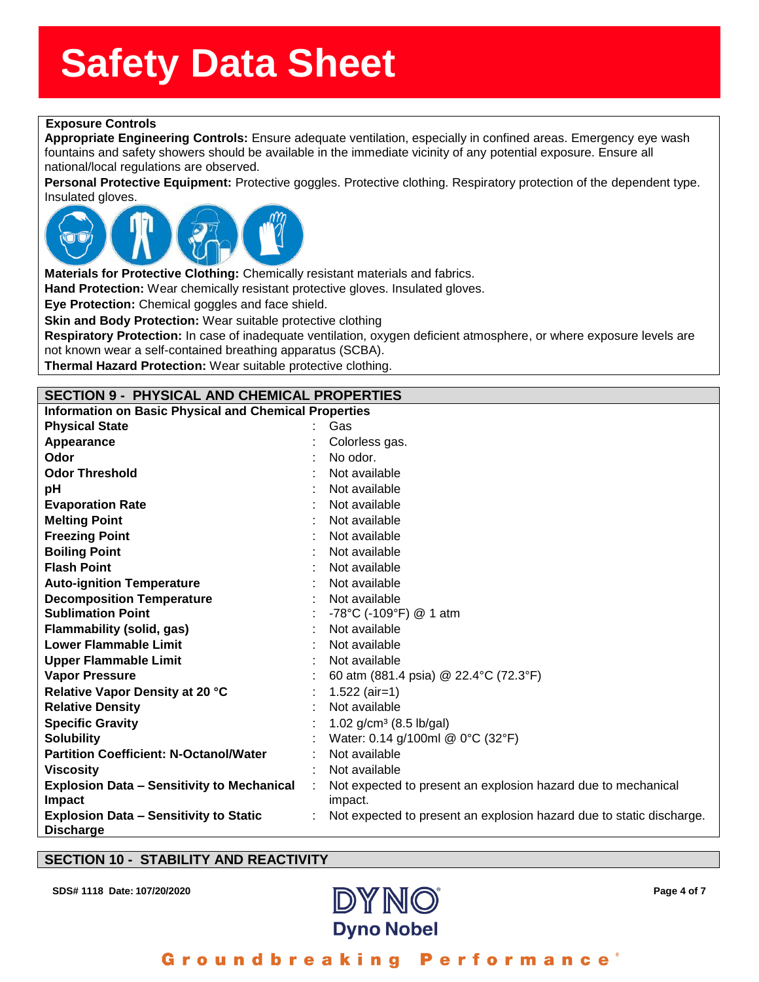## **ssssSSherrSheetSSh Exposure Controls**

Appropriate Engineering Controls: E<br>fountains and safety showers should be<br>national/local regulations are observed. **Appropriate Engineering Controls:** Ensure adequate ventilation, especially in confined areas. Emergency eye wash fountains and safety showers should be available in the immediate vicinity of any potential exposure. Ensure all

**Personal Protective Equipment:** Protective goggles. Protective clothing. Respiratory protection of the dependent type. Insulated gloves.



**Materials for Protective Clothing:** Chemically resistant materials and fabrics.

**Hand Protection:** Wear chemically resistant protective gloves. Insulated gloves.

**Eye Protection:** Chemical goggles and face shield.

**Skin and Body Protection:** Wear suitable protective clothing

**Respiratory Protection:** In case of inadequate ventilation, oxygen deficient atmosphere, or where exposure levels are not known wear a self-contained breathing apparatus (SCBA).

**Thermal Hazard Protection:** Wear suitable protective clothing.

#### **SECTION 9 - PHYSICAL AND CHEMICAL PROPERTIES**

| <b>Information on Basic Physical and Chemical Properties</b>      |  |                                                                          |  |
|-------------------------------------------------------------------|--|--------------------------------------------------------------------------|--|
| <b>Physical State</b>                                             |  | Gas                                                                      |  |
| Appearance                                                        |  | Colorless gas.                                                           |  |
| Odor                                                              |  | No odor.                                                                 |  |
| <b>Odor Threshold</b>                                             |  | Not available                                                            |  |
| рH                                                                |  | Not available                                                            |  |
| <b>Evaporation Rate</b>                                           |  | Not available                                                            |  |
| <b>Melting Point</b>                                              |  | Not available                                                            |  |
| <b>Freezing Point</b>                                             |  | Not available                                                            |  |
| <b>Boiling Point</b>                                              |  | Not available                                                            |  |
| <b>Flash Point</b>                                                |  | Not available                                                            |  |
| <b>Auto-ignition Temperature</b>                                  |  | Not available                                                            |  |
| <b>Decomposition Temperature</b>                                  |  | Not available                                                            |  |
| <b>Sublimation Point</b>                                          |  | -78°C (-109°F) @ 1 atm                                                   |  |
| <b>Flammability (solid, gas)</b>                                  |  | Not available                                                            |  |
| <b>Lower Flammable Limit</b>                                      |  | Not available                                                            |  |
| <b>Upper Flammable Limit</b>                                      |  | Not available                                                            |  |
| <b>Vapor Pressure</b>                                             |  | 60 atm (881.4 psia) @ 22.4°C (72.3°F)                                    |  |
| Relative Vapor Density at 20 °C                                   |  | $1.522$ (air=1)                                                          |  |
| <b>Relative Density</b>                                           |  | Not available                                                            |  |
| <b>Specific Gravity</b>                                           |  | 1.02 $g/cm^3$ (8.5 lb/gal)                                               |  |
| <b>Solubility</b>                                                 |  | Water: 0.14 g/100ml @ 0°C (32°F)                                         |  |
| <b>Partition Coefficient: N-Octanol/Water</b>                     |  | Not available                                                            |  |
| <b>Viscosity</b>                                                  |  | Not available                                                            |  |
| <b>Explosion Data - Sensitivity to Mechanical</b><br>Impact       |  | Not expected to present an explosion hazard due to mechanical<br>impact. |  |
| <b>Explosion Data - Sensitivity to Static</b><br><b>Discharge</b> |  | Not expected to present an explosion hazard due to static discharge.     |  |

#### **SECTION 10 - STABILITY AND REACTIVITY**



#### ormance Groundbrea n a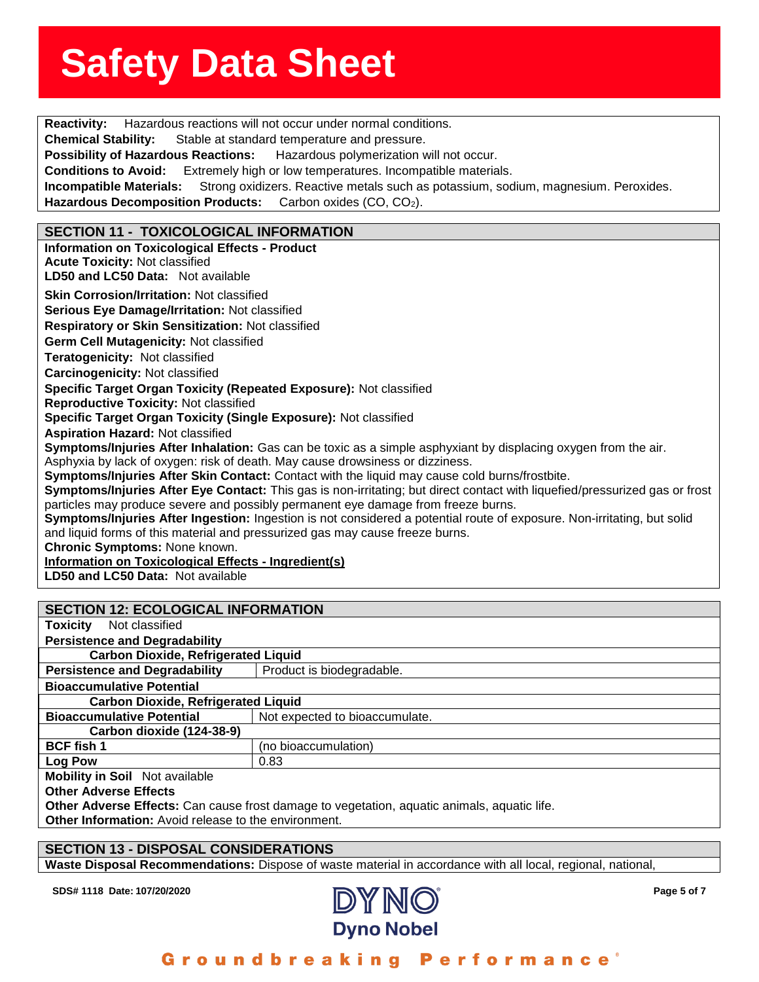**Reactivity:** Hazardous reactions will not occur under normal conditions. **Chemical Stability:** Stable at stand<br>Possibility of Hazardous Reactions: Stable at standard temperature and pressure. Hazardous polymerization will not occur. **Conditions to Avoid:** Extremely high or low temperatures. Incompatible materials. **Incompatible Materials:** Strong oxidizers. Reactive metals such as potassium, sodium, magnesium. Peroxides. Hazardous Decomposition Products: Carbon oxides (CO, CO<sub>2</sub>). **SECTION 11 - TOXICOLOGICAL INFORMATION Information on Toxicological Effects - Product Acute Toxicity:** Not classified **LD50 and LC50 Data:** Not available**Skin Corrosion/Irritation:** Not classified **Serious Eye Damage/Irritation:** Not classified **Respiratory or Skin Sensitization:** Not classified **Germ Cell Mutagenicity:** Not classified**Teratogenicity:** Not classified**Carcinogenicity:** Not classified **Specific Target Organ Toxicity (Repeated Exposure):** Not classified **Reproductive Toxicity:** Not classified **Specific Target Organ Toxicity (Single Exposure):** Not classified **Aspiration Hazard:** Not classified **Symptoms/Injuries After Inhalation:** Gas can be toxic as a simple asphyxiant by displacing oxygen from the air. Asphyxia by lack of oxygen: risk of death. May cause drowsiness or dizziness. **Symptoms/Injuries After Skin Contact:** Contact with the liquid may cause cold burns/frostbite. **Symptoms/Injuries After Eye Contact:** This gas is non-irritating; but direct contact with liquefied/pressurized gas or frost particles may produce severe and possibly permanent eye damage from freeze burns. **Symptoms/Injuries After Ingestion:** Ingestion is not considered a potential route of exposure. Non-irritating, but solid and liquid forms of this material and pressurized gas may cause freeze burns. **Chronic Symptoms:** None known. **Information on Toxicological Effects - Ingredient(s) LD50 and LC50 Data:** Not available

### **SECTION 12: ECOLOGICAL INFORMATION Toxicity** Not classified**Persistence and Degradability Carbon Dioxide, Refrigerated Liquid Persistence and Degradability** | Product is biodegradable. **Bioaccumulative Potential Carbon Dioxide, Refrigerated Liquid Bioaccumulative Potential** Not expected to bioaccumulate. **Carbon dioxide (124-38-9) BCF fish 1** (no bioaccumulation) **Log Pow** 0.83 **Mobility in Soil** Not available

**Other Adverse Effects**

Other Adverse Effects: Can cause frost damage to vegetation, aquatic animals, aquatic life.

**Other Information:** Avoid release to the environment.

#### **SECTION 13 - DISPOSAL CONSIDERATIONS**

**Waste Disposal Recommendations:** Dispose of waste material in accordance with all local, regional, national,



### Groundbreaking Performance®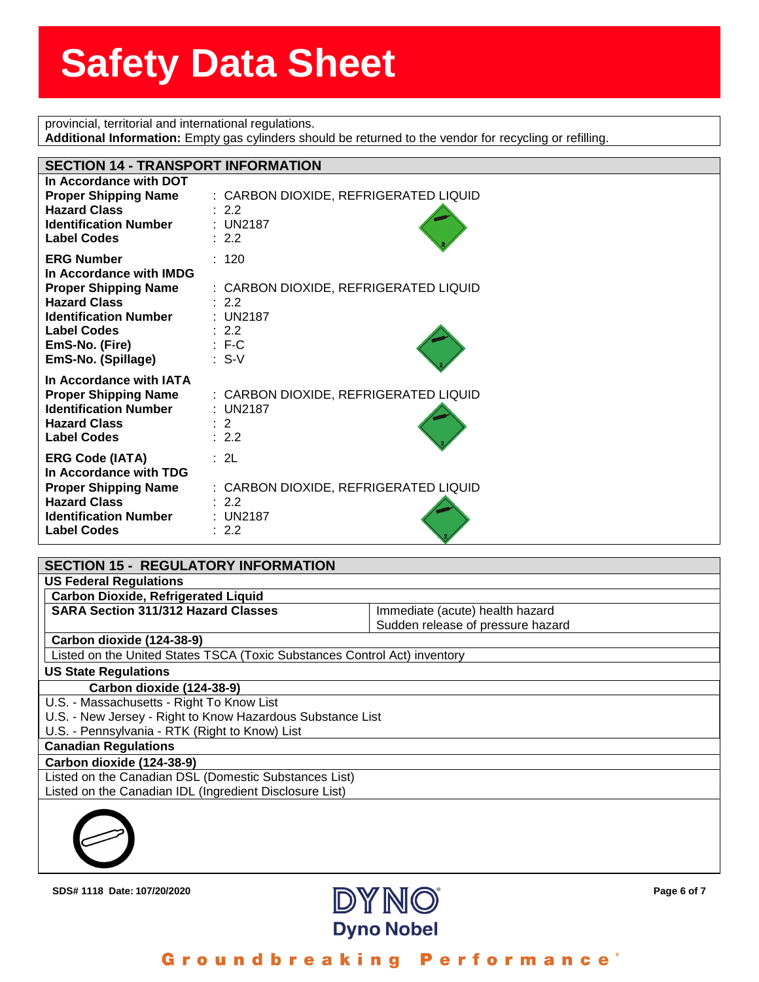**state of the state of the state of the state of the state of the state of the state of the state of the state o**<br>Provincial, territorial and international regulations.

| Additional Information: Empty gas cylinders should be returned to the vendor for recycling or refilling.                                                                                         |                                                                                                             |  |  |  |
|--------------------------------------------------------------------------------------------------------------------------------------------------------------------------------------------------|-------------------------------------------------------------------------------------------------------------|--|--|--|
|                                                                                                                                                                                                  |                                                                                                             |  |  |  |
| <b>SECTION 14 - TRANSPORT INFORMATION</b>                                                                                                                                                        |                                                                                                             |  |  |  |
| In Accordance with DOT<br><b>Proper Shipping Name</b><br><b>Hazard Class</b><br><b>Identification Number</b><br><b>Label Codes</b>                                                               | : CARBON DIOXIDE, REFRIGERATED LIQUID<br>: 2.2<br>: UN2187<br>: 2.2                                         |  |  |  |
| <b>ERG Number</b><br>In Accordance with IMDG<br><b>Proper Shipping Name</b><br><b>Hazard Class</b><br><b>Identification Number</b><br><b>Label Codes</b><br>EmS-No. (Fire)<br>EmS-No. (Spillage) | : 120<br>: CARBON DIOXIDE, REFRIGERATED LIQUID<br>: 2.2<br>: UN2187<br>: 2.2<br>$\therefore$ F-C<br>$: S-V$ |  |  |  |
| In Accordance with IATA<br><b>Proper Shipping Name</b><br><b>Identification Number</b><br><b>Hazard Class</b><br><b>Label Codes</b>                                                              | : CARBON DIOXIDE, REFRIGERATED LIQUID<br>: UN2187<br>$\therefore$ 2<br>: 2.2                                |  |  |  |
| <b>ERG Code (IATA)</b><br>In Accordance with TDG<br><b>Proper Shipping Name</b><br><b>Hazard Class</b><br><b>Identification Number</b><br><b>Label Codes</b>                                     | : 2L<br>: CARBON DIOXIDE, REFRIGERATED LIQUID<br>: 2.2<br>: UN2187<br>: 2.2                                 |  |  |  |

| <b>SECTION 15 - REGULATORY INFORMATION</b>                                |                                   |  |
|---------------------------------------------------------------------------|-----------------------------------|--|
| <b>US Federal Regulations</b>                                             |                                   |  |
| <b>Carbon Dioxide, Refrigerated Liquid</b>                                |                                   |  |
| <b>SARA Section 311/312 Hazard Classes</b>                                | Immediate (acute) health hazard   |  |
|                                                                           | Sudden release of pressure hazard |  |
| Carbon dioxide (124-38-9)                                                 |                                   |  |
| Listed on the United States TSCA (Toxic Substances Control Act) inventory |                                   |  |
| <b>US State Regulations</b>                                               |                                   |  |
| Carbon dioxide (124-38-9)                                                 |                                   |  |
| U.S. - Massachusetts - Right To Know List                                 |                                   |  |
| U.S. - New Jersey - Right to Know Hazardous Substance List                |                                   |  |
| U.S. - Pennsylvania - RTK (Right to Know) List                            |                                   |  |
| <b>Canadian Regulations</b>                                               |                                   |  |
| Carbon dioxide (124-38-9)                                                 |                                   |  |
| Listed on the Canadian DSL (Domestic Substances List)                     |                                   |  |
| Listed on the Canadian IDL (Ingredient Disclosure List)                   |                                   |  |
|                                                                           |                                   |  |



mance Ground